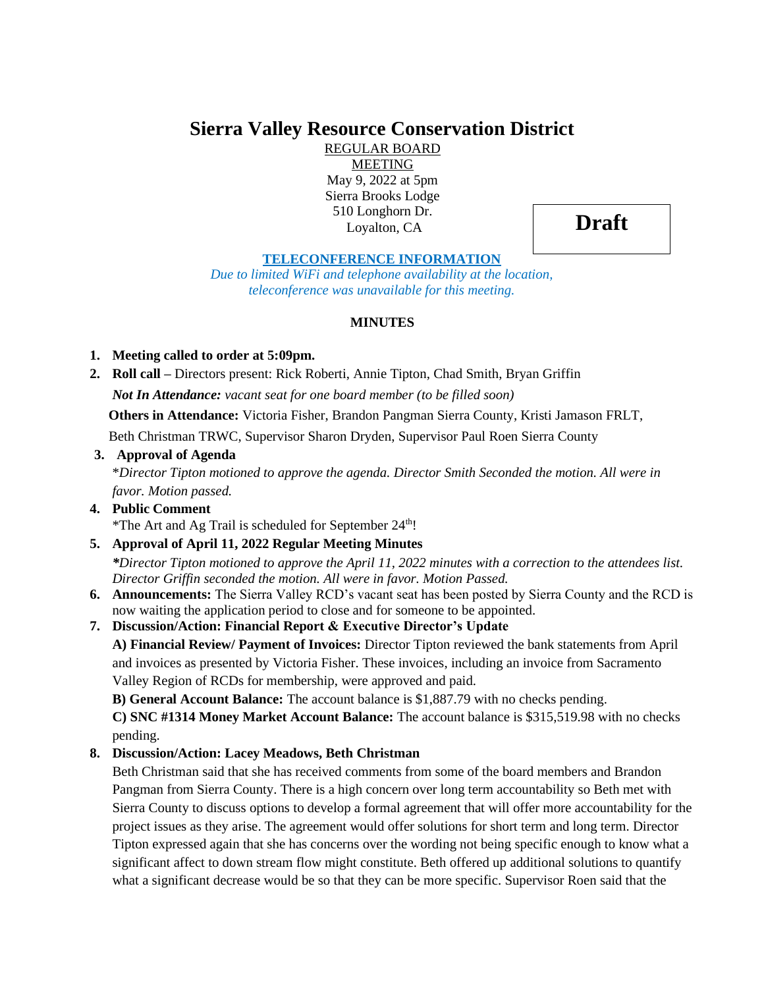# **Sierra Valley Resource Conservation District**

REGULAR BOARD MEETING May 9, 2022 at 5pm Sierra Brooks Lodge 510 Longhorn Dr. Loyalton, CA

**Draft**

#### **TELECONFERENCE INFORMATION**

*Due to limited WiFi and telephone availability at the location, teleconference was unavailable for this meeting.*

### **MINUTES**

### **1. Meeting called to order at 5:09pm.**

**2. Roll call –** Directors present: Rick Roberti, Annie Tipton, Chad Smith, Bryan Griffin *Not In Attendance: vacant seat for one board member (to be filled soon)*

 **Others in Attendance:** Victoria Fisher, Brandon Pangman Sierra County, Kristi Jamason FRLT,

Beth Christman TRWC, Supervisor Sharon Dryden, Supervisor Paul Roen Sierra County

### **3. Approval of Agenda**

\**Director Tipton motioned to approve the agenda. Director Smith Seconded the motion. All were in favor. Motion passed.*

#### **4. Public Comment** \*The Art and Ag Trail is scheduled for September  $24<sup>th</sup>$ !

# **5. Approval of April 11, 2022 Regular Meeting Minutes**

*\*Director Tipton motioned to approve the April 11, 2022 minutes with a correction to the attendees list. Director Griffin seconded the motion. All were in favor. Motion Passed.*

**6. Announcements:** The Sierra Valley RCD's vacant seat has been posted by Sierra County and the RCD is now waiting the application period to close and for someone to be appointed.

# **7. Discussion/Action: Financial Report & Executive Director's Update**

**A) Financial Review/ Payment of Invoices:** Director Tipton reviewed the bank statements from April and invoices as presented by Victoria Fisher. These invoices, including an invoice from Sacramento Valley Region of RCDs for membership, were approved and paid.

**B) General Account Balance:** The account balance is \$1,887.79 with no checks pending.

**C) SNC #1314 Money Market Account Balance:** The account balance is \$315,519.98 with no checks pending.

# **8. Discussion/Action: Lacey Meadows, Beth Christman**

Beth Christman said that she has received comments from some of the board members and Brandon Pangman from Sierra County. There is a high concern over long term accountability so Beth met with Sierra County to discuss options to develop a formal agreement that will offer more accountability for the project issues as they arise. The agreement would offer solutions for short term and long term. Director Tipton expressed again that she has concerns over the wording not being specific enough to know what a significant affect to down stream flow might constitute. Beth offered up additional solutions to quantify what a significant decrease would be so that they can be more specific. Supervisor Roen said that the